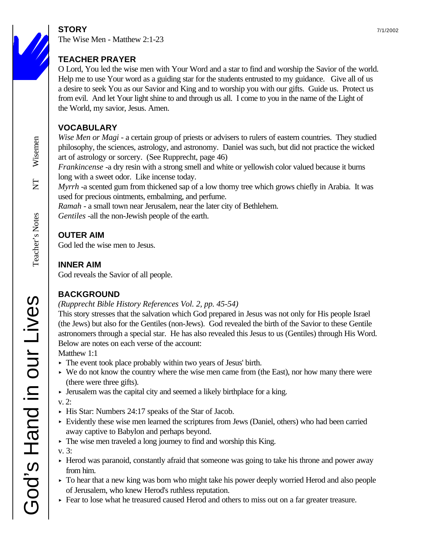## **STORY** 7/1/2002

The Wise Men - Matthew 2:1-23

### **TEACHER PRAYER**

O Lord, You led the wise men with Your Word and a star to find and worship the Savior of the world. Help me to use Your word as a guiding star for the students entrusted to my guidance. Give all of us a desire to seek You as our Savior and King and to worship you with our gifts. Guide us. Protect us from evil. And let Your light shine to and through us all. I come to you in the name of the Light of the World, my savior, Jesus. Amen.

## **VOCABULARY**

*Wise Men or Magi* - a certain group of priests or advisers to rulers of eastern countries. They studied philosophy, the sciences, astrology, and astronomy. Daniel was such, but did not practice the wicked art of astrology or sorcery. (See Rupprecht, page 46)

*Frankincense* -a dry resin with a strong smell and white or yellowish color valued because it burns long with a sweet odor. Like incense today.

*Myrrh* -a scented gum from thickened sap of a low thorny tree which grows chiefly in Arabia. It was used for precious ointments, embalming, and perfume.

*Ramah* - a small town near Jerusalem, near the later city of Bethlehem.

*Gentiles* -all the non-Jewish people of the earth.

# **OUTER AIM**

God led the wise men to Jesus.

## **INNER AIM**

God reveals the Savior of all people.

# **BACKGROUND**

#### *(Rupprecht Bible History References Vol. 2, pp. 45-54)*

This story stresses that the salvation which God prepared in Jesus was not only for His people Israel (the Jews) but also for the Gentiles (non-Jews). God revealed the birth of the Savior to these Gentile astronomers through a special star. He has also revealed this Jesus to us (Gentiles) through His Word. Below are notes on each verse of the account:

Matthew 1:1

- < The event took place probably within two years of Jesus' birth.
- $\triangleright$  We do not know the country where the wise men came from (the East), nor how many there were (there were three gifts).
- < Jerusalem was the capital city and seemed a likely birthplace for a king.

v. 2:

- < His Star: Numbers 24:17 speaks of the Star of Jacob.
- < Evidently these wise men learned the scriptures from Jews (Daniel, others) who had been carried away captive to Babylon and perhaps beyond.
- $\triangleright$  The wise men traveled a long journey to find and worship this King.

v. 3:

- < Herod was paranoid, constantly afraid that someone was going to take his throne and power away from him.
- ► To hear that a new king was born who might take his power deeply worried Herod and also people of Jerusalem, who knew Herod's ruthless reputation.
- ► Fear to lose what he treasured caused Herod and others to miss out on a far greater treasure.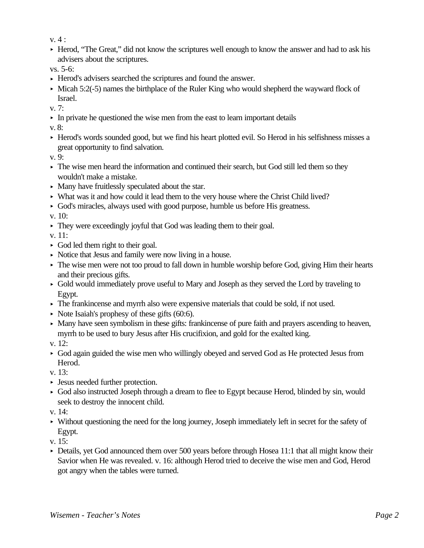v. 4 :

< Herod, "The Great," did not know the scriptures well enough to know the answer and had to ask his advisers about the scriptures.

vs. 5-6:

- < Herod's advisers searched the scriptures and found the answer.
- $\triangleright$  Micah 5:2(-5) names the birthplace of the Ruler King who would shepherd the wayward flock of Israel.

 $v$  7 $\cdot$ 

< In private he questioned the wise men from the east to learn important details

v. 8:

< Herod's words sounded good, but we find his heart plotted evil. So Herod in his selfishness misses a great opportunity to find salvation.

v. 9:

- < The wise men heard the information and continued their search, but God still led them so they wouldn't make a mistake.
- < Many have fruitlessly speculated about the star.
- $\triangleright$  What was it and how could it lead them to the very house where the Christ Child lived?
- < God's miracles, always used with good purpose, humble us before His greatness.

v. 10:

 $\triangleright$  They were exceedingly joyful that God was leading them to their goal.

v. 11:

- $\triangleright$  God led them right to their goal.
- < Notice that Jesus and family were now living in a house.
- < The wise men were not too proud to fall down in humble worship before God, giving Him their hearts and their precious gifts.
- < Gold would immediately prove useful to Mary and Joseph as they served the Lord by traveling to Egypt.
- $\triangleright$  The frankincense and myrrh also were expensive materials that could be sold, if not used.
- $\triangleright$  Note Isaiah's prophesy of these gifts (60:6).
- Many have seen symbolism in these gifts: frankincense of pure faith and prayers ascending to heaven, myrrh to be used to bury Jesus after His crucifixion, and gold for the exalted king.

v. 12:

< God again guided the wise men who willingly obeyed and served God as He protected Jesus from Herod.

v. 13:

- < Jesus needed further protection.
- < God also instructed Joseph through a dream to flee to Egypt because Herod, blinded by sin, would seek to destroy the innocent child.

v. 14:

< Without questioning the need for the long journey, Joseph immediately left in secret for the safety of Egypt.

v. 15:

 $\triangleright$  Details, yet God announced them over 500 years before through Hosea 11:1 that all might know their Savior when He was revealed. v. 16: although Herod tried to deceive the wise men and God, Herod got angry when the tables were turned.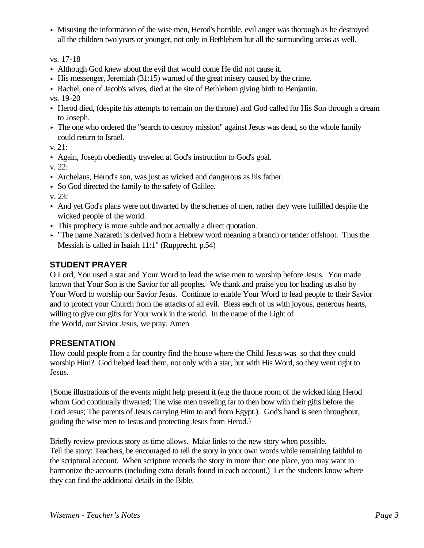< Misusing the information of the wise men, Herod's horrible, evil anger was thorough as he destroyed all the children two years or younger, not only in Bethlehem but all the surrounding areas as well.

vs. 17-18

- < Although God knew about the evil that would come He did not cause it.
- $\blacktriangleright$  His messenger, Jeremiah (31:15) warned of the great misery caused by the crime.
- < Rachel, one of Jacob's wives, died at the site of Bethlehem giving birth to Benjamin.

vs. 19-20

- < Herod died, (despite his attempts to remain on the throne) and God called for His Son through a dream to Joseph.
- The one who ordered the "search to destroy mission" against Jesus was dead, so the whole family could return to Israel.

v. 21:

< Again, Joseph obediently traveled at God's instruction to God's goal.

v. 22:

- < Archelaus, Herod's son, was just as wicked and dangerous as his father.
- ► So God directed the family to the safety of Galilee.

v. 23:

- < And yet God's plans were not thwarted by the schemes of men, rather they were fulfilled despite the wicked people of the world.
- $\triangleright$  This prophecy is more subtle and not actually a direct quotation.
- "The name Nazareth is derived from a Hebrew word meaning a branch or tender offshoot. Thus the Messiah is called in Isaiah 11:1" (Rupprecht. p.54)

# **STUDENT PRAYER**

O Lord, You used a star and Your Word to lead the wise men to worship before Jesus. You made known that Your Son is the Savior for all peoples. We thank and praise you for leading us also by Your Word to worship our Savior Jesus. Continue to enable Your Word to lead people to their Savior and to protect your Church from the attacks of all evil. Bless each of us with joyous, generous hearts, willing to give our gifts for Your work in the world. In the name of the Light of the World, our Savior Jesus, we pray. Amen

### **PRESENTATION**

How could people from a far country find the house where the Child Jesus was so that they could worship Him? God helped lead them, not only with a star, but with His Word, so they went right to Jesus.

{Some illustrations of the events might help present it (e.g the throne room of the wicked king Herod whom God continually thwarted; The wise men traveling far to then bow with their gifts before the Lord Jesus; The parents of Jesus carrying Him to and from Egypt.). God's hand is seen throughout, guiding the wise men to Jesus and protecting Jesus from Herod.}

Briefly review previous story as time allows. Make links to the new story when possible. Tell the story: Teachers, be encouraged to tell the story in your own words while remaining faithful to the scriptural account. When scripture records the story in more than one place, you may want to harmonize the accounts (including extra details found in each account.) Let the students know where they can find the additional details in the Bible.